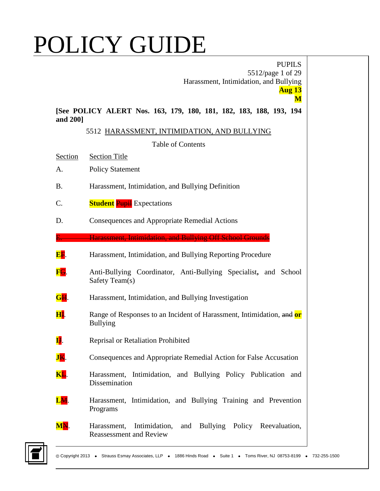|                                                                                          | <b>PUPILS</b><br>5512/page 1 of 29<br>Harassment, Intimidation, and Bullying                        |  |
|------------------------------------------------------------------------------------------|-----------------------------------------------------------------------------------------------------|--|
| <b>Aug 13</b><br>M<br>[See POLICY ALERT Nos. 163, 179, 180, 181, 182, 183, 188, 193, 194 |                                                                                                     |  |
| and 200]                                                                                 |                                                                                                     |  |
|                                                                                          | 5512 HARASSMENT, INTIMIDATION, AND BULLYING                                                         |  |
|                                                                                          | <b>Table of Contents</b>                                                                            |  |
| Section                                                                                  | <b>Section Title</b>                                                                                |  |
| A.                                                                                       | <b>Policy Statement</b>                                                                             |  |
| <b>B.</b>                                                                                | Harassment, Intimidation, and Bullying Definition                                                   |  |
| $\mathcal{C}$ .                                                                          | <b>Student Pupil</b> Expectations                                                                   |  |
| D.                                                                                       | Consequences and Appropriate Remedial Actions                                                       |  |
|                                                                                          | Harassment, Intimidation, and Bullying Off School Grounds                                           |  |
| <b>EF.</b>                                                                               | Harassment, Intimidation, and Bullying Reporting Procedure                                          |  |
| FG.                                                                                      | Anti-Bullying Coordinator, Anti-Bullying Specialist, and School<br>Safety Team(s)                   |  |
| GH.                                                                                      | Harassment, Intimidation, and Bullying Investigation                                                |  |
| <u>НІ</u> .                                                                              | Range of Responses to an Incident of Harassment, Intimidation, and or<br><b>Bullying</b>            |  |
| IJ.                                                                                      | Reprisal or Retaliation Prohibited                                                                  |  |
| JK.                                                                                      | Consequences and Appropriate Remedial Action for False Accusation                                   |  |
| KL.                                                                                      | Harassment, Intimidation, and Bullying Policy Publication and<br>Dissemination                      |  |
| LM.                                                                                      | Harassment, Intimidation, and Bullying Training and Prevention<br>Programs                          |  |
| $\mathbf{M}\mathbf{N}$ .                                                                 | and Bullying Policy Reevaluation,<br>Intimidation,<br>Harassment,<br><b>Reassessment and Review</b> |  |

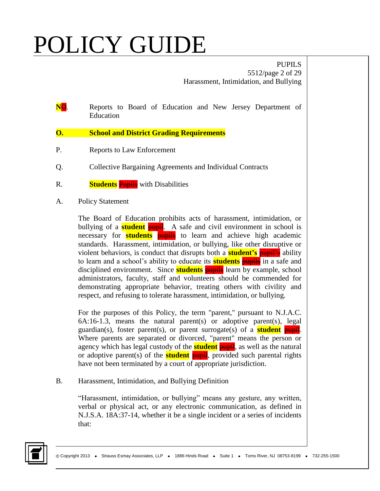PUPILS 5512/page 2 of 29 Harassment, Intimidation, and Bullying

- **NO.** Reports to Board of Education and New Jersey Department of Education
- **O. School and District Grading Requirements**
- P. Reports to Law Enforcement
- Q. Collective Bargaining Agreements and Individual Contracts
- R. **Students** Pupils with Disabilities
- A. Policy Statement

The Board of Education prohibits acts of harassment, intimidation, or bullying of a **student pupil**. A safe and civil environment in school is necessary for **students** pupils to learn and achieve high academic standards. Harassment, intimidation, or bullying, like other disruptive or violent behaviors, is conduct that disrupts both a **student's** pupil's ability to learn and a school's ability to educate its **students** pupils in a safe and disciplined environment. Since **students** pupils learn by example, school administrators, faculty, staff and volunteers should be commended for demonstrating appropriate behavior, treating others with civility and respect, and refusing to tolerate harassment, intimidation, or bullying.

For the purposes of this Policy, the term "parent," pursuant to N.J.A.C.  $6A:16-1.3$ , means the natural parent(s) or adoptive parent(s), legal guardian(s), foster parent(s), or parent surrogate(s) of a **student** pupil. Where parents are separated or divorced, "parent" means the person or agency which has legal custody of the **student** pupil, as well as the natural or adoptive parent(s) of the **student pupil**, provided such parental rights have not been terminated by a court of appropriate jurisdiction.

B. Harassment, Intimidation, and Bullying Definition

"Harassment, intimidation, or bullying" means any gesture, any written, verbal or physical act, or any electronic communication, as defined in N.J.S.A. 18A:37-14, whether it be a single incident or a series of incidents that:

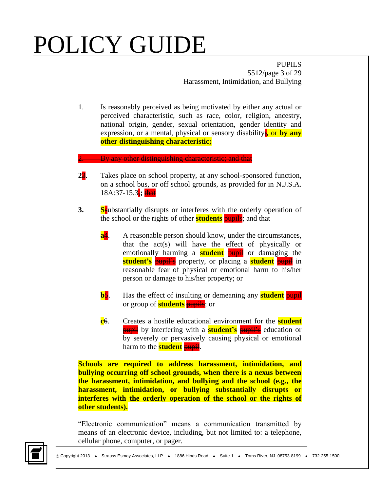PUPILS 5512/page 3 of 29 Harassment, Intimidation, and Bullying

1. Is reasonably perceived as being motivated by either any actual or perceived characteristic, such as race, color, religion, ancestry, national origin, gender, sexual orientation, gender identity and expression, or a mental, physical or sensory disability<sub>i</sub>, or by any **other distinguishing characteristic;**

By any other distinguishing characteristic; and that

- **2**3. Takes place on school property, at any school-sponsored function, on a school bus, or off school grounds, as provided for in N.J.S.A. 18A:37-15.3,**;** that
- **3. Ss**ubstantially disrupts or interferes with the orderly operation of the school or the rights of other **students pupils**; and that
	- **a**<sup>4</sup>. A reasonable person should know, under the circumstances, that the act(s) will have the effect of physically or emotionally harming a **student** pupil or damaging the **student's** pupil's property, or placing a **student** pupil in reasonable fear of physical or emotional harm to his/her person or damage to his/her property; or
	- **b**<sup>5</sup>. Has the effect of insulting or demeaning any **student** pupil or group of **students** pupils; or
	- **c**6. Creates a hostile educational environment for the **student pupil** by interfering with a **student's** pupil's education or by severely or pervasively causing physical or emotional harm to the **student** pupil.

**Schools are required to address harassment, intimidation, and bullying occurring off school grounds, when there is a nexus between the harassment, intimidation, and bullying and the school (e.g., the harassment, intimidation, or bullying substantially disrupts or interferes with the orderly operation of the school or the rights of other students).**

"Electronic communication" means a communication transmitted by means of an electronic device, including, but not limited to: a telephone, cellular phone, computer, or pager.

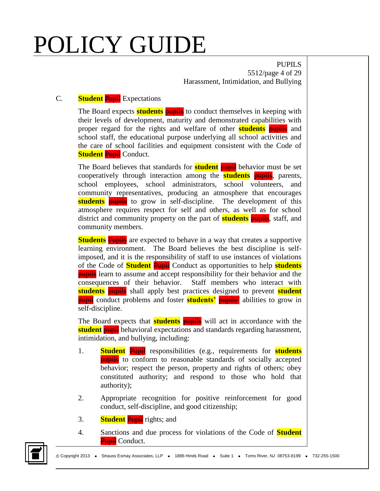PUPILS 5512/page 4 of 29 Harassment, Intimidation, and Bullying

### C. **Student** Pupil Expectations

The Board expects **students pupils** to conduct themselves in keeping with their levels of development, maturity and demonstrated capabilities with proper regard for the rights and welfare of other **students** pupils and school staff, the educational purpose underlying all school activities and the care of school facilities and equipment consistent with the Code of **Student Pupil Conduct.** 

The Board believes that standards for **student pupil** behavior must be set cooperatively through interaction among the **students** pupils, parents, school employees, school administrators, school volunteers, and community representatives, producing an atmosphere that encourages **students pupils** to grow in self-discipline. The development of this atmosphere requires respect for self and others, as well as for school district and community property on the part of **students pupils**, staff, and community members.

**Students** Pupils are expected to behave in a way that creates a supportive learning environment. The Board believes the best discipline is selfimposed, and it is the responsibility of staff to use instances of violations of the Code of **Student** Pupil Conduct as opportunities to help **students pupils** learn to assume and accept responsibility for their behavior and the consequences of their behavior. Staff members who interact with **students** pupils shall apply best practices designed to prevent **student pupil** conduct problems and foster **students'** pupils<sup>2</sup> abilities to grow in self-discipline.

The Board expects that **students** pupils will act in accordance with the **student pupil** behavioral expectations and standards regarding harassment, intimidation, and bullying, including:

- 1. **Student** Pupil responsibilities (e.g., requirements for **students pupils** to conform to reasonable standards of socially accepted behavior; respect the person, property and rights of others; obey constituted authority; and respond to those who hold that authority);
- 2. Appropriate recognition for positive reinforcement for good conduct, self-discipline, and good citizenship;
- 3. **Student** Pupil rights; and
- 4. Sanctions and due process for violations of the Code of **Student Pupil** Conduct.

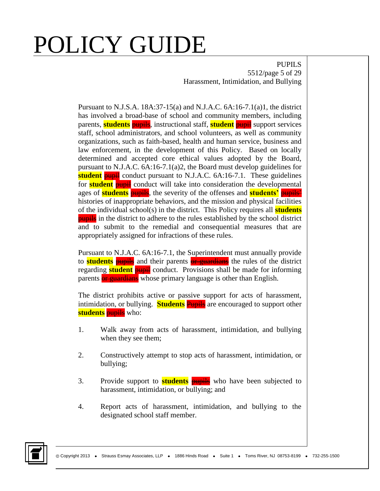PUPILS 5512/page 5 of 29 Harassment, Intimidation, and Bullying

Pursuant to N.J.S.A. 18A:37-15(a) and N.J.A.C. 6A:16-7.1(a)1, the district has involved a broad-base of school and community members, including parents, **students** pupils, instructional staff, **student** pupil support services staff, school administrators, and school volunteers, as well as community organizations, such as faith-based, health and human service, business and law enforcement, in the development of this Policy. Based on locally determined and accepted core ethical values adopted by the Board, pursuant to N.J.A.C. 6A:16-7.1(a)2, the Board must develop guidelines for **student pupil** conduct pursuant to N.J.A.C. 6A:16-7.1. These guidelines for **student** pupil conduct will take into consideration the developmental ages of **students** pupils, the severity of the offenses and **students'** pupils' histories of inappropriate behaviors, and the mission and physical facilities of the individual school(s) in the district. This Policy requires all **students pupils** in the district to adhere to the rules established by the school district and to submit to the remedial and consequential measures that are appropriately assigned for infractions of these rules.

Pursuant to N.J.A.C. 6A:16-7.1, the Superintendent must annually provide to **students pupils** and their parents **or guardians** the rules of the district regarding **student** pupil conduct. Provisions shall be made for informing parents **or guardians** whose primary language is other than English.

The district prohibits active or passive support for acts of harassment, intimidation, or bullying. **Students** Pupils are encouraged to support other **students** pupils who:

- 1. Walk away from acts of harassment, intimidation, and bullying when they see them;
- 2. Constructively attempt to stop acts of harassment, intimidation, or bullying;
- 3. Provide support to **students** pupils who have been subjected to harassment, intimidation, or bullying; and
- 4. Report acts of harassment, intimidation, and bullying to the designated school staff member.

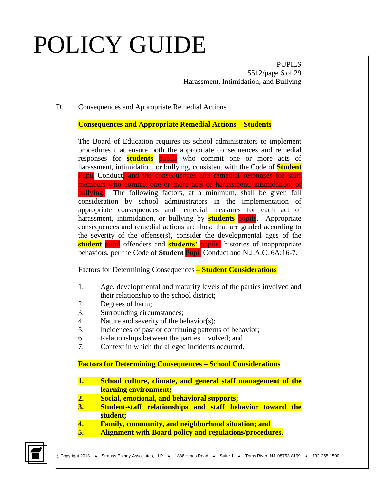PUPILS 5512/page 6 of 29 Harassment, Intimidation, and Bullying

#### D. Consequences and Appropriate Remedial Actions

**Consequences and Appropriate Remedial Actions – Students**

The Board of Education requires its school administrators to implement procedures that ensure both the appropriate consequences and remedial responses for **students** pupils who commit one or more acts of harassment, intimidation, or bullying, consistent with the Code of **Student Pupil** Conduct<del>, and the consequences and remedial responses for staff</del> members who commit one or more acts of harassment, intimidation, or **bullying.** The following factors, at a minimum, shall be given full consideration by school administrators in the implementation of appropriate consequences and remedial measures for each act of harassment, intimidation, or bullying by **students** pupils. Appropriate consequences and remedial actions are those that are graded according to the severity of the offense(s), consider the developmental ages of the **student** pupil offenders and **students'** pupils' histories of inappropriate behaviors, per the Code of **Student** Pupil Conduct and N.J.A.C. 6A:16-7.

Factors for Determining Consequences **– Student Considerations**

- 1. Age, developmental and maturity levels of the parties involved and their relationship to the school district;
- 2. Degrees of harm;
- 3. Surrounding circumstances;
- 4. Nature and severity of the behavior(s);
- 5. Incidences of past or continuing patterns of behavior;
- 6. Relationships between the parties involved; and
- 7. Context in which the alleged incidents occurred.

**Factors for Determining Consequences – School Considerations**

- **1. School culture, climate, and general staff management of the learning environment;**
- **2. Social, emotional, and behavioral supports;**
- **3. Student-staff relationships and staff behavior toward the student;**
- **4. Family, community, and neighborhood situation; and**
- **5. Alignment with Board policy and regulations/procedures.**

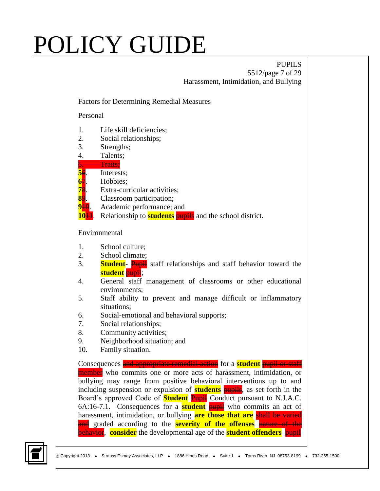#### PUPILS 5512/page 7 of 29 Harassment, Intimidation, and Bullying

#### Factors for Determining Remedial Measures

Personal

- 1. Life skill deficiencies;
- 2. Social relationships;
- 3. Strengths;
- 4. Talents;
- Traits:
- **5**6. Interests;
- **6**7. Hobbies;
- **7**8. Extra-curricular activities;
- **8**9. Classroom participation;
- **9<sup>10</sup>.** Academic performance; and
- **10<del>11</del>.** Relationship to **students pupils** and the school district.

#### Environmental

- 1. School culture;
- 2. School climate;
- 3. **Student-** Pupil staff relationships and staff behavior toward the **student** pupil;
- 4. General staff management of classrooms or other educational environments;
- 5. Staff ability to prevent and manage difficult or inflammatory situations;
- 6. Social-emotional and behavioral supports;
- 7. Social relationships;
- 8. Community activities;
- 9. Neighborhood situation; and
- 10. Family situation.

Consequences and appropriate remedial action for a **student** pupil or staff member who commits one or more acts of harassment, intimidation, or bullying may range from positive behavioral interventions up to and including suspension or expulsion of **students** pupils, as set forth in the Board's approved Code of **Student** Pupil Conduct pursuant to N.J.A.C. 6A:16-7.1. Consequences for a **student** pupil who commits an act of harassment, intimidation, or bullying **are those that are** shall be varied and graded according to the **severity of the offenses** nature of the **behavior, consider** the developmental age of the **student offenders pupil** 

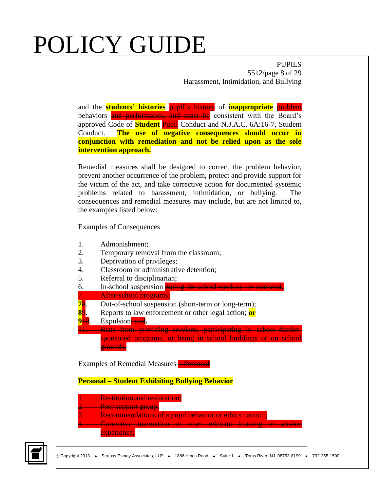PUPILS 5512/page 8 of 29 Harassment, Intimidation, and Bullying

and the **students' histories** pupil's history of **inappropriate** problem behaviors and performance, and must be consistent with the Board's approved Code of **Student** Pupil Conduct and N.J.A.C. 6A:16-7, Student Conduct. **The use of negative consequences should occur in conjunction with remediation and not be relied upon as the sole intervention approach.**

Remedial measures shall be designed to correct the problem behavior, prevent another occurrence of the problem, protect and provide support for the victim of the act, and take corrective action for documented systemic problems related to harassment, intimidation, or bullying. The consequences and remedial measures may include, but are not limited to, the examples listed below:

Examples of Consequences

- 1. Admonishment;
- 2. Temporary removal from the classroom;
- 3. Deprivation of privileges;
- 4. Classroom or administrative detention;
- 5. Referral to disciplinarian;
- 6. In-school suspension during the school week or the weekend;
- After-school programs;
- **7**8. Out-of-school suspension (short-term or long-term);
- **8**9. Reports to law enforcement or other legal action; **or**
- **9<sup>10</sup>.** Expulsion **and**.

Bans from providing services, participating in school-districtsponsored programs, or being in school buildings or on school grounds.

Examples of Remedial Measures **Personal** 

**Personal – Student Exhibiting Bullying Behavior**

- **1. Restitution and restoration:**
- **Peer support group;**
- **3. Recommendations of a pupil behavior or ethics council;**
- **4. Corrective instruction or other relevant learning or service** 
	- experience;

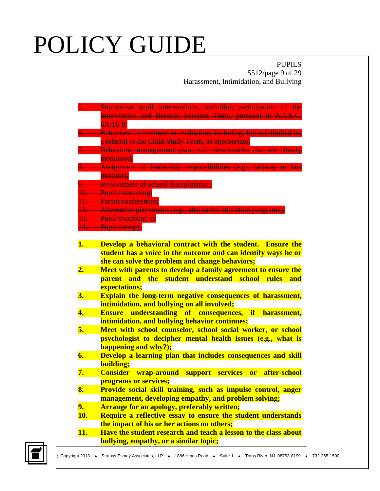### PUPILS 5512/page 9 of 29 Harassment, Intimidation, and Bullying

|     | Supportive pupil interventions, including participation of the           |
|-----|--------------------------------------------------------------------------|
|     | Intervention and Referral Services Team, pursuant to N.J.A.C.            |
|     | $6A:16-8$                                                                |
|     | Behavioral assessment or evaluation, including, but not limited to,      |
|     | a referral to the Child Study Team, as appropriate;                      |
|     | <b>Behavioral management plan, with benchmarks that are closely</b>      |
|     | monitored:                                                               |
|     | <b>Assignment of leadership responsibilities (e.g., hallway or bus</b>   |
|     | monitor);                                                                |
|     | 9. Involvement of school disciplinarian;                                 |
|     | 10. Pupil counseling;                                                    |
|     | 11. Parent conferences:                                                  |
|     | 12. Alternative placements (e.g., alternative education programs);       |
|     | 13. Pupil treatment; or                                                  |
|     | 14. Pupil therapy.                                                       |
|     |                                                                          |
| 1.  | Develop a behavioral contract with the student. Ensure the               |
|     | student has a voice in the outcome and can identify ways he or           |
|     | she can solve the problem and change behaviors;                          |
| 2.  | Meet with parents to develop a family agreement to ensure the            |
|     | parent and the student understand school<br><b>Fules</b><br>and          |
|     | expectations;                                                            |
| 3.  | <b>Explain the long-term negative consequences of harassment,</b>        |
|     | intimidation, and bullying on all involved;                              |
| 4.  | <b>Ensure understanding of consequences,</b><br><b>if</b><br>harassment, |
|     | intimidation, and bullying behavior continues;                           |
| 5.  | Meet with school counselor, school social worker, or school              |
|     | psychologist to decipher mental health issues (e.g., what is             |
|     | happening and why?);                                                     |
| 6.  | Develop a learning plan that includes consequences and skill             |
|     | building;                                                                |
| 7.  | <b>Consider wrap-around support services</b><br>after-school<br>or       |
|     | programs or services;                                                    |
| 8.  | Provide social skill training, such as impulse control, anger            |
|     | management, developing empathy, and problem solving;                     |
| 9.  | <b>Arrange for an apology, preferably written;</b>                       |
| 10. | Require a reflective essay to ensure the student understands             |
|     | the impact of his or her actions on others;                              |
| 11. | Have the student research and teach a lesson to the class about          |
|     | bullying, empathy, or a similar topic;                                   |

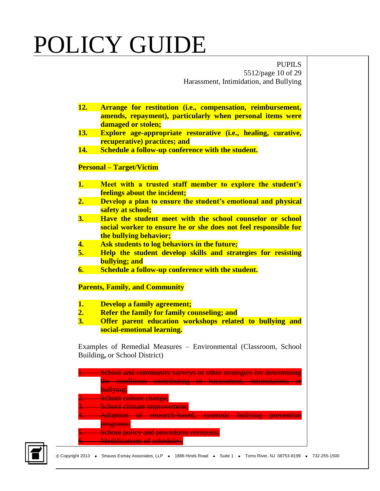PUPILS 5512/page 10 of 29 Harassment, Intimidation, and Bullying

**12. Arrange for restitution (i.e., compensation, reimbursement, amends, repayment), particularly when personal items were damaged or stolen; 13. Explore age-appropriate restorative (i.e., healing, curative, recuperative) practices; and 14. Schedule a follow-up conference with the student. Personal – Target/Victim 1. Meet with a trusted staff member to explore the student's feelings about the incident; 2. Develop a plan to ensure the student's emotional and physical safety at school; 3. Have the student meet with the school counselor or school social worker to ensure he or she does not feel responsible for the bullying behavior; 4. Ask students to log behaviors in the future; 5. Help the student develop skills and strategies for resisting bullying; and 6. Schedule a follow-up conference with the student. Parents, Family, and Community 1. Develop a family agreement; 2. Refer the family for family counseling; and 3. Offer parent education workshops related to bullying and social-emotional learning.** Examples of Remedial Measures – Environmental (Classroom, School Building**,** or School District)

| <b>School and community surveys or other strategies for determ</b><br>the conditions contributing<br><del>to harassment. intimidation</del> |
|---------------------------------------------------------------------------------------------------------------------------------------------|
| bullying;                                                                                                                                   |
| School culture change;                                                                                                                      |
| <b>School climate improvement;</b>                                                                                                          |
| $h$ ullying<br>dontion<br><u>- research based, systemic -</u><br>nreventi                                                                   |
| <del>programs;</del>                                                                                                                        |
| <b>School policy and procedure</b>                                                                                                          |
| <i>ifications</i> of scho                                                                                                                   |

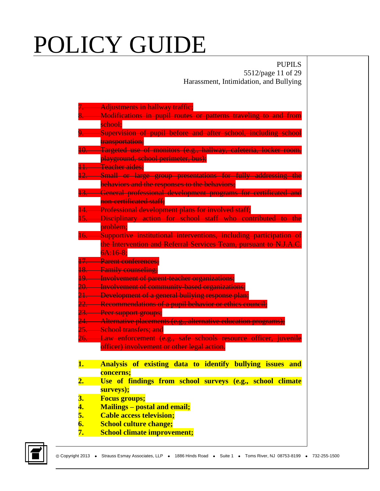### PUPILS 5512/page 11 of 29 Harassment, Intimidation, and Bullying

|                           | Adjustments in hallway traffic;                                                                |
|---------------------------|------------------------------------------------------------------------------------------------|
|                           | Modifications in pupil routes or patterns traveling to and from                                |
|                           | sehool;                                                                                        |
|                           | Supervision of pupil before and after school, including school                                 |
|                           | transportation;                                                                                |
| 10.                       | Targeted use of monitors (e.g., hallway, cafeteria, locker room,                               |
|                           | playground, school perimeter, bus);                                                            |
|                           | Teacher aides:                                                                                 |
|                           | 12. Small or large group presentations for fully addressing the                                |
|                           | behaviors and the responses to the behaviors;                                                  |
|                           | General professional development programs for certificated and                                 |
|                           | non-certificated staff;                                                                        |
|                           | Professional development plans for involved staff;                                             |
|                           | 15. Disciplinary action for school staff who contributed to the                                |
|                           | problem;                                                                                       |
| 16.                       | Supportive institutional interventions, including participation of                             |
|                           | the Intervention and Referral Services Team, pursuant to N.J.A.C.                              |
|                           | 6A:168:                                                                                        |
|                           | 17. Parent conferences:                                                                        |
| 18.                       | <del>Family counseling;</del>                                                                  |
| 19.                       | Involvement of parent-teacher organizations;                                                   |
|                           | 20. Involvement of community based organizations;                                              |
|                           | 21. Development of a general bullying response plan;                                           |
|                           | 22. Recommendations of a pupil behavior or ethics council;                                     |
|                           | 23. Peer support groups;<br>24. Alternative placements (e.g., alternative education programs); |
|                           | 25. School transfers; and                                                                      |
|                           | 26. Law enforcement (e.g., safe schools resource officer,<br><b>iuvenile</b>                   |
|                           | officer) involvement or other legal action.                                                    |
|                           |                                                                                                |
| 1.                        | of existing data to identify bullying issues<br><b>Analysis</b><br><b>and</b>                  |
|                           | concerns;                                                                                      |
| $\overline{\mathbf{2}}$ . | Use of findings from school surveys (e.g., school climate                                      |
|                           | surveys);                                                                                      |
| 3.                        | <b>Focus groups;</b>                                                                           |
| 4.                        | <b>Mailings – postal and email;</b>                                                            |
| 5.                        | <b>Cable access television;</b>                                                                |
| 6.                        | <b>School culture change;</b>                                                                  |
| 7.                        | <b>School climate improvement;</b>                                                             |
|                           |                                                                                                |

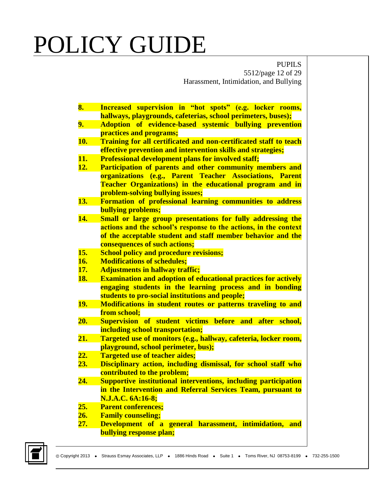PUPILS 5512/page 12 of 29 Harassment, Intimidation, and Bullying

| 8.         | Increased supervision in "hot spots" (e.g. locker rooms,              |
|------------|-----------------------------------------------------------------------|
|            | hallways, playgrounds, cafeterias, school perimeters, buses);         |
| 9.         | Adoption of evidence-based systemic bullying prevention               |
|            | practices and programs;                                               |
| <b>10.</b> | Training for all certificated and non-certificated staff to teach     |
|            | effective prevention and intervention skills and strategies;          |
| 11.        | <b>Professional development plans for involved staff;</b>             |
| 12.        | Participation of parents and other community members and              |
|            | organizations (e.g., Parent Teacher Associations, Parent              |
|            | Teacher Organizations) in the educational program and in              |
|            | problem-solving bullying issues;                                      |
| 13.        | <b>Formation of professional learning communities to address</b>      |
|            | <b>bullying problems;</b>                                             |
| 14.        | Small or large group presentations for fully addressing the           |
|            | actions and the school's response to the actions, in the context      |
|            | of the acceptable student and staff member behavior and the           |
|            | consequences of such actions;                                         |
| 15.        | <b>School policy and procedure revisions;</b>                         |
| 16.        | <b>Modifications of schedules;</b>                                    |
| 17.        | <b>Adjustments in hallway traffic;</b>                                |
| <b>18.</b> | <b>Examination and adoption of educational practices for actively</b> |
|            | engaging students in the learning process and in bonding              |
|            | students to pro-social institutions and people;                       |
| 19.        | Modifications in student routes or patterns traveling to and          |
|            | from school;                                                          |
| <b>20.</b> | Supervision of student victims before and after school,               |
|            | including school transportation;                                      |
| 21.        | Targeted use of monitors (e.g., hallway, cafeteria, locker room,      |
|            | playground, school perimeter, bus);                                   |
| 22.        | <b>Targeted use of teacher aides;</b>                                 |
| 23.        | Disciplinary action, including dismissal, for school staff who        |
|            | contributed to the problem;                                           |
| 24.        | Supportive institutional interventions, including participation       |
|            | in the Intervention and Referral Services Team, pursuant to           |
|            | N.J.A.C. 6A:16-8;                                                     |
| 25.        | <b>Parent conferences;</b>                                            |
| 26.        | <b>Family counseling;</b>                                             |
| 27.        | Development of a general harassment, intimidation, and                |
|            | <b>bullying response plan;</b>                                        |

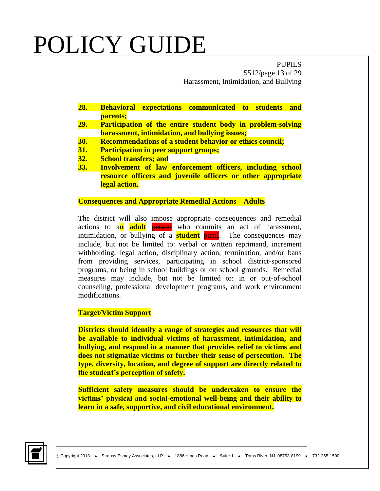PUPILS 5512/page 13 of 29 Harassment, Intimidation, and Bullying

- **28. Behavioral expectations communicated to students and parents;**
- **29. Participation of the entire student body in problem-solving harassment, intimidation, and bullying issues;**
- **30. Recommendations of a student behavior or ethics council;**
- **31. Participation in peer support groups;**
- **32. School transfers; and**
- **33. Involvement of law enforcement officers, including school resource officers and juvenile officers or other appropriate legal action.**

#### **Consequences and Appropriate Remedial Actions** – **Adults**

The district will also impose appropriate consequences and remedial actions to a**n adult** person who commits an act of harassment, intimidation, or bullying of a **student pupil**. The consequences may include, but not be limited to: verbal or written reprimand, increment withholding, legal action, disciplinary action, termination, and/or bans from providing services, participating in school district-sponsored programs, or being in school buildings or on school grounds. Remedial measures may include, but not be limited to: in or out-of-school counseling, professional development programs, and work environment modifications.

#### **Target/Victim Support**

**Districts should identify a range of strategies and resources that will be available to individual victims of harassment, intimidation, and bullying, and respond in a manner that provides relief to victims and does not stigmatize victims or further their sense of persecution. The type, diversity, location, and degree of support are directly related to the student's perception of safety.**

**Sufficient safety measures should be undertaken to ensure the victims' physical and social-emotional well-being and their ability to learn in a safe, supportive, and civil educational environment.**

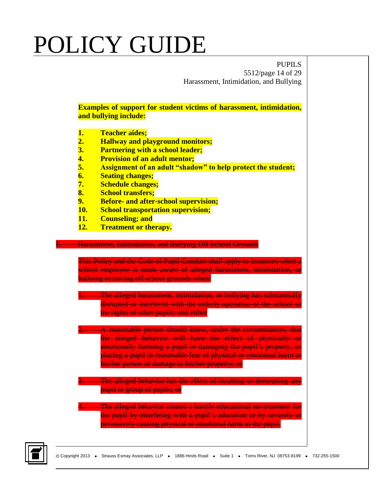PUPILS 5512/page 14 of 29 Harassment, Intimidation, and Bullying

**Examples of support for student victims of harassment, intimidation, and bullying include:** 

- **1. Teacher aides;**
- **2. Hallway and playground monitors;**
- **3. Partnering with a school leader;**
- **4. Provision of an adult mentor;**
- **5. Assignment of an adult "shadow" to help protect the student;**
- **6. Seating changes;**
- **7. Schedule changes;**
- **8. School transfers;**
- **9. Before- and after-school supervision;**
- **10. School transportation supervision;**
- **11. Counseling; and**
- **12. Treatment or therapy.**

#### **E. Harassment, Intimidation, and Bullying Off School Grounds**

This Policy and the Code of Pupil Conduct shall apply to instances when a school employee is made aware of alleged harassment, intimidation, or bullying occurring off school grounds when:

The alleged harassment, intimidation, or bullying has substantially disrupted or interfered with the orderly operation of the school or the rights of other pupils; and either

**2. A reasonable person should know, under the circumstances, that** the alleged behavior will have the effect of physically or emotionally harming a pupil or damaging the pupil's property, or placing a pupil in reasonable fear of physical or emotional harm to his/her person or damage to his/her property; or

**3. The alleged behavior has the effect of insulting or demeaning any** pupil or group of pupils; or

The alleged behavior creates a hostile educational environment for the pupil by interfering with a pupil's education or by severely or pervasively causing physical or emotional harm to the pupil.

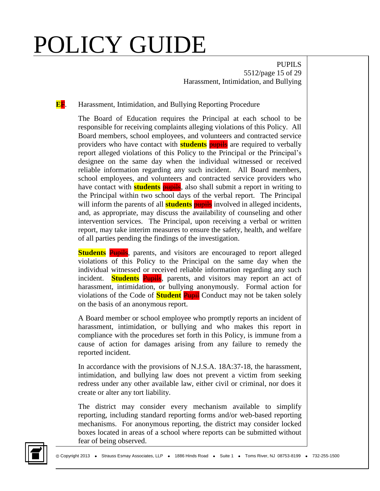PUPILS 5512/page 15 of 29 Harassment, Intimidation, and Bullying

#### **E**F. Harassment, Intimidation, and Bullying Reporting Procedure

The Board of Education requires the Principal at each school to be responsible for receiving complaints alleging violations of this Policy. All Board members, school employees, and volunteers and contracted service providers who have contact with **students** pupils are required to verbally report alleged violations of this Policy to the Principal or the Principal's designee on the same day when the individual witnessed or received reliable information regarding any such incident. All Board members, school employees, and volunteers and contracted service providers who have contact with **students** pupils, also shall submit a report in writing to the Principal within two school days of the verbal report. The Principal will inform the parents of all **students pupils** involved in alleged incidents, and, as appropriate, may discuss the availability of counseling and other intervention services. The Principal, upon receiving a verbal or written report, may take interim measures to ensure the safety, health, and welfare of all parties pending the findings of the investigation.

**Students** Pupils, parents, and visitors are encouraged to report alleged violations of this Policy to the Principal on the same day when the individual witnessed or received reliable information regarding any such incident. **Students** Pupils, parents, and visitors may report an act of harassment, intimidation, or bullying anonymously. Formal action for violations of the Code of **Student** Pupil Conduct may not be taken solely on the basis of an anonymous report.

A Board member or school employee who promptly reports an incident of harassment, intimidation, or bullying and who makes this report in compliance with the procedures set forth in this Policy, is immune from a cause of action for damages arising from any failure to remedy the reported incident.

In accordance with the provisions of N.J.S.A. 18A:37-18, the harassment, intimidation, and bullying law does not prevent a victim from seeking redress under any other available law, either civil or criminal, nor does it create or alter any tort liability.

The district may consider every mechanism available to simplify reporting, including standard reporting forms and/or web-based reporting mechanisms. For anonymous reporting, the district may consider locked boxes located in areas of a school where reports can be submitted without fear of being observed.

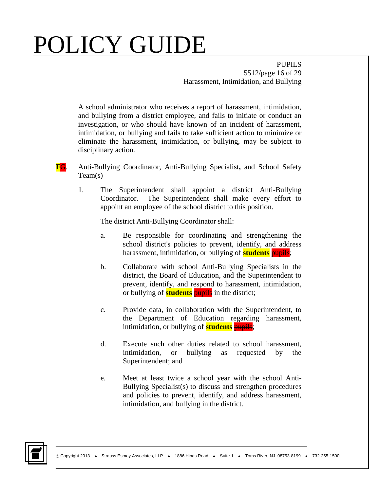PUPILS 5512/page 16 of 29 Harassment, Intimidation, and Bullying

A school administrator who receives a report of harassment, intimidation, and bullying from a district employee, and fails to initiate or conduct an investigation, or who should have known of an incident of harassment, intimidation, or bullying and fails to take sufficient action to minimize or eliminate the harassment, intimidation, or bullying, may be subject to disciplinary action.

- **F**G. Anti-Bullying Coordinator, Anti-Bullying Specialist**,** and School Safety Team(s)
	- 1. The Superintendent shall appoint a district Anti-Bullying Coordinator. The Superintendent shall make every effort to appoint an employee of the school district to this position.

The district Anti-Bullying Coordinator shall:

- a. Be responsible for coordinating and strengthening the school district's policies to prevent, identify, and address harassment, intimidation, or bullying of **students** pupils;
- b. Collaborate with school Anti-Bullying Specialists in the district, the Board of Education, and the Superintendent to prevent, identify, and respond to harassment, intimidation, or bullying of **students** pupils in the district;
- c. Provide data, in collaboration with the Superintendent, to the Department of Education regarding harassment, intimidation, or bullying of **students pupils**;
- d. Execute such other duties related to school harassment, intimidation, or bullying as requested by the Superintendent; and
- e. Meet at least twice a school year with the school Anti-Bullying Specialist(s) to discuss and strengthen procedures and policies to prevent, identify, and address harassment, intimidation, and bullying in the district.

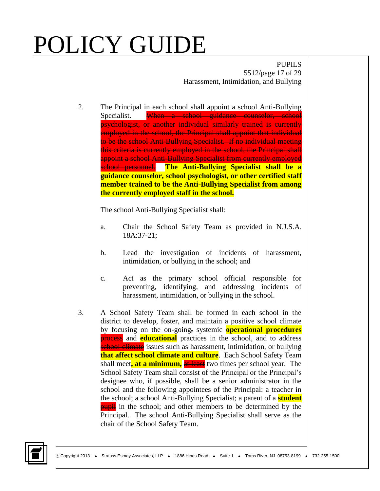PUPILS 5512/page 17 of 29 Harassment, Intimidation, and Bullying

2. The Principal in each school shall appoint a school Anti-Bullying Specialist. When a school guidance counselor, school psychologist, or another individual similarly trained is currently employed in the school, the Principal shall appoint that individual to be the school Anti-Bullying Specialist. If no individual meeting this criteria is currently employed in the school, the Principal shall appoint a school Anti-Bullying Specialist from currently employed school personnel. **The Anti-Bullying Specialist shall be a guidance counselor, school psychologist, or other certified staff member trained to be the Anti-Bullying Specialist from among the currently employed staff in the school.**

The school Anti-Bullying Specialist shall:

- a. Chair the School Safety Team as provided in N.J.S.A. 18A:37-21;
- b. Lead the investigation of incidents of harassment, intimidation, or bullying in the school; and
- c. Act as the primary school official responsible for preventing, identifying, and addressing incidents of harassment, intimidation, or bullying in the school.
- 3. A School Safety Team shall be formed in each school in the district to develop, foster, and maintain a positive school climate by focusing on the on-going, systemic **operational procedures process** and **educational** practices in the school, and to address school climate issues such as harassment, intimidation, or bullying **that affect school climate and culture**. Each School Safety Team shall meet**, at a minimum,** at least two times per school year. The School Safety Team shall consist of the Principal or the Principal's designee who, if possible, shall be a senior administrator in the school and the following appointees of the Principal: a teacher in the school; a school Anti-Bullying Specialist; a parent of a **student pupil** in the school; and other members to be determined by the Principal. The school Anti-Bullying Specialist shall serve as the chair of the School Safety Team.

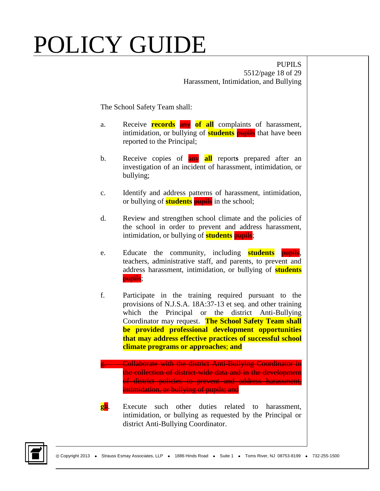PUPILS 5512/page 18 of 29 Harassment, Intimidation, and Bullying

The School Safety Team shall:

- a. Receive **records** any of all complaints of harassment, intimidation, or bullying of **students pupils** that have been reported to the Principal;
- b. Receive copies of any **all** report**s** prepared after an investigation of an incident of harassment, intimidation, or bullying;
- c. Identify and address patterns of harassment, intimidation, or bullying of **students** pupils in the school;
- d. Review and strengthen school climate and the policies of the school in order to prevent and address harassment, intimidation, or bullying of **students pupils**;
- e. Educate the community, including **students** teachers, administrative staff, and parents, to prevent and address harassment, intimidation, or bullying of **students** pupils;
- f. Participate in the training required pursuant to the provisions of N.J.S.A. 18A:37-13 et seq. and other training which the Principal or the district Anti-Bullying Coordinator may request. **The School Safety Team shall be provided professional development opportunities that may address effective practices of successful school climate programs or approaches**; **and**
	- g. Collaborate with the district Anti-Bullying Coordinator in the collection of district-wide data and in the development of district policies to prevent and address harassment, intimidation, or bullying of pupils; and
- **g**h. Execute such other duties related to harassment, intimidation, or bullying as requested by the Principal or district Anti-Bullying Coordinator.

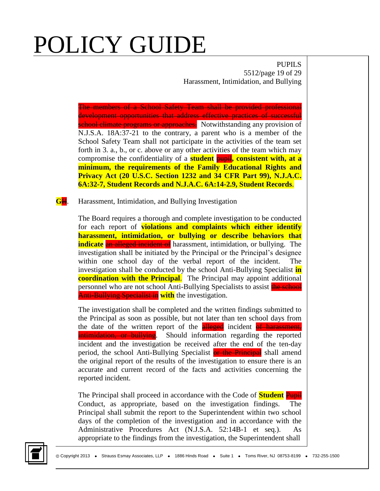PUPILS 5512/page 19 of 29 Harassment, Intimidation, and Bullying

The members of a School Safety Team shall be provided professional development opportunities that address effective practices of successful school climate programs or approaches. Notwithstanding any provision of N.J.S.A. 18A:37-21 to the contrary, a parent who is a member of the School Safety Team shall not participate in the activities of the team set forth in 3. a., b., or c. above or any other activities of the team which may compromise the confidentiality of a **student** pupil**, consistent with, at a minimum, the requirements of the Family Educational Rights and Privacy Act (20 U.S.C. Section 1232 and 34 CFR Part 99), N.J.A.C. 6A:32-7, Student Records and N.J.A.C. 6A:14-2.9, Student Records**.

**G**H. Harassment, Intimidation, and Bullying Investigation

The Board requires a thorough and complete investigation to be conducted for each report of **violations and complaints which either identify harassment, intimidation, or bullying or describe behaviors that indicate** an alleged incident of harassment, intimidation, or bullying. The investigation shall be initiated by the Principal or the Principal's designee within one school day of the verbal report of the incident. The investigation shall be conducted by the school Anti-Bullying Specialist **in coordination with the Principal**. The Principal may appoint additional personnel who are not school Anti-Bullying Specialists to assist the school Anti-Bullying Specialist in **with** the investigation.

The investigation shall be completed and the written findings submitted to the Principal as soon as possible, but not later than ten school days from the date of the written report of the **alleged** incident of harassment, **intimidation, or bullying**. Should information regarding the reported incident and the investigation be received after the end of the ten-day period, the school Anti-Bullying Specialist or the Principal shall amend the original report of the results of the investigation to ensure there is an accurate and current record of the facts and activities concerning the reported incident.

The Principal shall proceed in accordance with the Code of **Student** Pupil Conduct, as appropriate, based on the investigation findings. The Principal shall submit the report to the Superintendent within two school days of the completion of the investigation and in accordance with the Administrative Procedures Act (N.J.S.A. 52:14B-1 et seq.). As appropriate to the findings from the investigation, the Superintendent shall

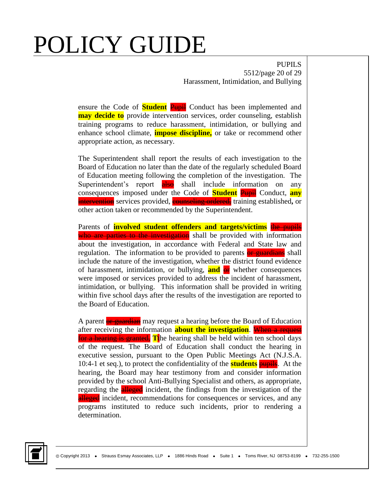PUPILS 5512/page 20 of 29 Harassment, Intimidation, and Bullying

ensure the Code of **Student** Pupil Conduct has been implemented and **may decide to** provide intervention services, order counseling, establish training programs to reduce harassment, intimidation, or bullying and enhance school climate, **impose discipline,** or take or recommend other appropriate action, as necessary.

The Superintendent shall report the results of each investigation to the Board of Education no later than the date of the regularly scheduled Board of Education meeting following the completion of the investigation. The Superintendent's report also shall include information on any consequences imposed under the Code of **Student** Pupil Conduct, **any intervention** services provided, **counseling ordered**, training established, or other action taken or recommended by the Superintendent.

Parents of **involved student offenders and targets/victims** the pupils who are parties to the investigation shall be provided with information about the investigation, in accordance with Federal and State law and regulation. The information to be provided to parents or guardians shall include the nature of the investigation, whether the district found evidence of harassment, intimidation, or bullying, **and** or whether consequences were imposed or services provided to address the incident of harassment, intimidation, or bullying. This information shall be provided in writing within five school days after the results of the investigation are reported to the Board of Education.

A parent or guardian may request a hearing before the Board of Education after receiving the information **about the investigation**. When a request for a hearing is granted, **T**the hearing shall be held within ten school days of the request. The Board of Education shall conduct the hearing in executive session, pursuant to the Open Public Meetings Act (N.J.S.A. 10:4-1 et seq.), to protect the confidentiality of the **students** pupils. At the hearing, the Board may hear testimony from and consider information provided by the school Anti-Bullying Specialist and others, as appropriate, regarding the **alleged** incident, the findings from the investigation of the alleged incident, recommendations for consequences or services, and any programs instituted to reduce such incidents, prior to rendering a determination.

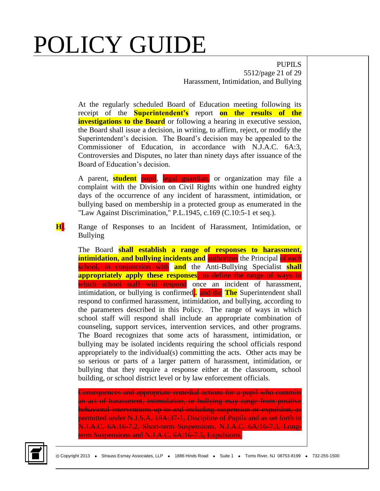PUPILS 5512/page 21 of 29 Harassment, Intimidation, and Bullying

At the regularly scheduled Board of Education meeting following its receipt of the **Superintendent's** report **on the results of the investigations to the Board** or following a hearing in executive session, the Board shall issue a decision, in writing, to affirm, reject, or modify the Superintendent's decision. The Board's decision may be appealed to the Commissioner of Education, in accordance with N.J.A.C. 6A:3, Controversies and Disputes, no later than ninety days after issuance of the Board of Education's decision.

A parent, **student** pupil, legal guardian, or organization may file a complaint with the Division on Civil Rights within one hundred eighty days of the occurrence of any incident of harassment, intimidation, or bullying based on membership in a protected group as enumerated in the "Law Against Discrimination," P.L.1945, c.169 (C.10:5-1 et seq.).

**H**I. Range of Responses to an Incident of Harassment, Intimidation, or Bullying

The Board **shall establish a range of responses to harassment, intimidation, and bullying incidents and authorizes** the Principal of each school, in conjunction with **and** the Anti-Bullying Specialist **shall appropriately apply these responses**, to define the range of ways in which school staff will respond once an incident of harassment, intimidation, or bullying is confirmed<sub>r</sub>. and the **The** Superintendent shall respond to confirmed harassment, intimidation, and bullying, according to the parameters described in this Policy. The range of ways in which school staff will respond shall include an appropriate combination of counseling, support services, intervention services, and other programs. The Board recognizes that some acts of harassment, intimidation, or bullying may be isolated incidents requiring the school officials respond appropriately to the individual(s) committing the acts. Other acts may be so serious or parts of a larger pattern of harassment, intimidation, or bullying that they require a response either at the classroom, school building, or school district level or by law enforcement officials.

Consequences and appropriate remedial actions for a pupil who commits an act of harassment, intimidation, or bullying may range from positive behavioral interventions up to and including suspension or expulsion, as permitted under N.J.S.A. 18A:37-1, Discipline of Pupils and as set forth in N.J.A.C. 6A:16-7.2, Short-term Suspensions, N.J.A.C. 6A:16-7.3, Longterm Suspensions and N.J.A.C. 6A:16-7.5, Expulsions.

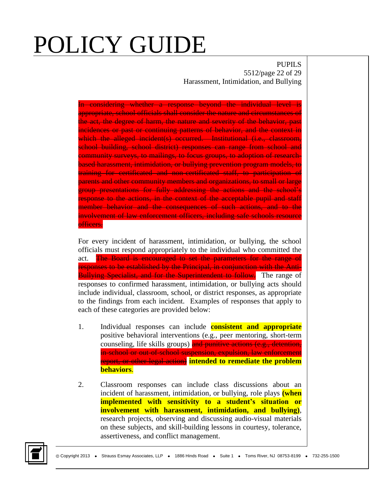PUPILS 5512/page 22 of 29 Harassment, Intimidation, and Bullying

In considering whether a response beyond the individual level is appropriate, school officials shall consider the nature and circumstances of the act, the degree of harm, the nature and severity of the behavior, past incidences or past or continuing patterns of behavior, and the context in which the alleged incident(s) occurred. Institutional (i.e., classroom, school building, school district) responses can range from school and community surveys, to mailings, to focus groups, to adoption of researchbased harassment, intimidation, or bullying prevention program models, to training for certificated and non-certificated staff, to participation of parents and other community members and organizations, to small or large group presentations for fully addressing the actions and the school's response to the actions, in the context of the acceptable pupil and staff member behavior and the consequences of such actions, and to the involvement of law enforcement officers, including safe schools resource officers.

For every incident of harassment, intimidation, or bullying, the school officials must respond appropriately to the individual who committed the act. The Board is encouraged to set the parameters for the range of responses to be established by the Principal, in conjunction with the Anti-**Bullying Specialist, and for the Superintendent to follow.** The range of responses to confirmed harassment, intimidation, or bullying acts should include individual, classroom, school, or district responses, as appropriate to the findings from each incident. Examples of responses that apply to each of these categories are provided below:

- 1. Individual responses can include **consistent and appropriate** positive behavioral interventions (e.g., peer mentoring, short-term counseling, life skills groups) and punitive actions (e.g., detention, in-school or out-of-school suspension, expulsion, law enforcement report, or other legal action) **intended to remediate the problem behaviors**.
- 2. Classroom responses can include class discussions about an incident of harassment, intimidation, or bullying, role plays **(when implemented with sensitivity to a student's situation or involvement with harassment, intimidation, and bullying)**, research projects, observing and discussing audio-visual materials on these subjects, and skill-building lessons in courtesy, tolerance, assertiveness, and conflict management.

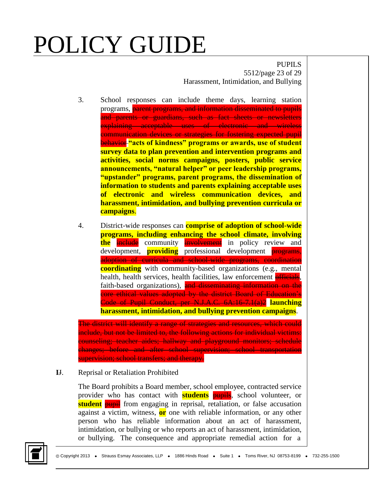PUPILS 5512/page 23 of 29 Harassment, Intimidation, and Bullying

- 3. School responses can include theme days, learning station programs, parent programs, and information disseminated to pupils and parents or guardians, such as fact sheets or newsletters explaining acceptable uses of electronic and wireless communication devices or strategies for fostering expected pupil **behavior** "acts of kindness" programs or awards, use of student **survey data to plan prevention and intervention programs and activities, social norms campaigns, posters, public service announcements, "natural helper" or peer leadership programs, "upstander" programs, parent programs, the dissemination of information to students and parents explaining acceptable uses of electronic and wireless communication devices, and harassment, intimidation, and bullying prevention curricula or campaigns**.
- 4. District-wide responses can **comprise of adoption of school-wide programs, including enhancing the school climate, involving the** include community involvement in policy review and development, **providing** professional development **programs**, adoption of curricula and school-wide programs, coordination **coordinating** with community-based organizations (e.g., mental health, health services, health facilities, law enforcement **officials**, faith-based organizations), and disseminating information on the core ethical values adopted by the district Board of Education's Code of Pupil Conduct, per N.J.A.C. 6A:16-7.1(a)2 **launching harassment, intimidation, and bullying prevention campaigns**.

The district will identify a range of strategies and resources, which could include, but not be limited to, the following actions for individual victims: counseling; teacher aides; hallway and playground monitors; schedule changes; before and after school supervision; school transportation supervision; school transfers; and therapy.

#### **I**J. Reprisal or Retaliation Prohibited

The Board prohibits a Board member, school employee, contracted service provider who has contact with **students** pupils, school volunteer, or **student pupil** from engaging in reprisal, retaliation, or false accusation against a victim, witness, **or** one with reliable information, or any other person who has reliable information about an act of harassment, intimidation, or bullying or who reports an act of harassment, intimidation, or bullying. The consequence and appropriate remedial action for a

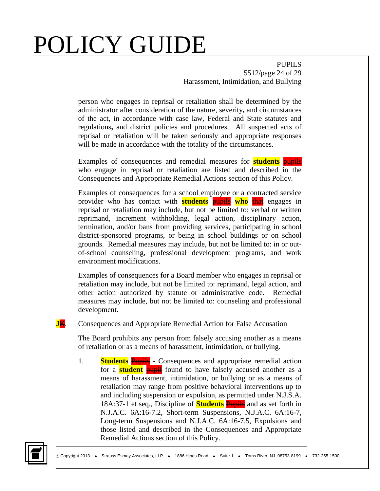PUPILS 5512/page 24 of 29 Harassment, Intimidation, and Bullying

person who engages in reprisal or retaliation shall be determined by the administrator after consideration of the nature, severity**,** and circumstances of the act, in accordance with case law, Federal and State statutes and regulations**,** and district policies and procedures. All suspected acts of reprisal or retaliation will be taken seriously and appropriate responses will be made in accordance with the totality of the circumstances.

Examples of consequences and remedial measures for **students** pupils who engage in reprisal or retaliation are listed and described in the Consequences and Appropriate Remedial Actions section of this Policy.

Examples of consequences for a school employee or a contracted service provider who has contact with **students** pupils **who** that engages in reprisal or retaliation may include, but not be limited to: verbal or written reprimand, increment withholding, legal action, disciplinary action, termination, and/or bans from providing services, participating in school district-sponsored programs, or being in school buildings or on school grounds. Remedial measures may include, but not be limited to: in or outof-school counseling, professional development programs, and work environment modifications.

Examples of consequences for a Board member who engages in reprisal or retaliation may include, but not be limited to: reprimand, legal action, and other action authorized by statute or administrative code. Remedial measures may include, but not be limited to: counseling and professional development.

**JK.** Consequences and Appropriate Remedial Action for False Accusation

The Board prohibits any person from falsely accusing another as a means of retaliation or as a means of harassment, intimidation, or bullying.

1. **Students Pupils** - Consequences and appropriate remedial action for a **student pupil** found to have falsely accused another as a means of harassment, intimidation, or bullying or as a means of retaliation may range from positive behavioral interventions up to and including suspension or expulsion, as permitted under N.J.S.A. 18A:37-1 et seq., Discipline of **Students** Pupils and as set forth in N.J.A.C. 6A:16-7.2, Short-term Suspensions, N.J.A.C. 6A:16-7, Long-term Suspensions and N.J.A.C. 6A:16-7.5, Expulsions and those listed and described in the Consequences and Appropriate Remedial Actions section of this Policy.

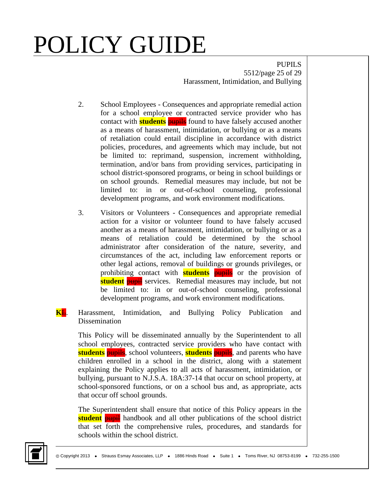PUPILS 5512/page 25 of 29 Harassment, Intimidation, and Bullying

- 2. School Employees Consequences and appropriate remedial action for a school employee or contracted service provider who has contact with **students pupils** found to have falsely accused another as a means of harassment, intimidation, or bullying or as a means of retaliation could entail discipline in accordance with district policies, procedures, and agreements which may include, but not be limited to: reprimand, suspension, increment withholding, termination, and/or bans from providing services, participating in school district-sponsored programs, or being in school buildings or on school grounds. Remedial measures may include, but not be limited to: in or out-of-school counseling, professional development programs, and work environment modifications.
- 3. Visitors or Volunteers Consequences and appropriate remedial action for a visitor or volunteer found to have falsely accused another as a means of harassment, intimidation, or bullying or as a means of retaliation could be determined by the school administrator after consideration of the nature, severity, and circumstances of the act, including law enforcement reports or other legal actions, removal of buildings or grounds privileges, or prohibiting contact with **students pupils** or the provision of **student pupil** services. Remedial measures may include, but not be limited to: in or out-of-school counseling, professional development programs, and work environment modifications.
- **K**L. Harassment, Intimidation, and Bullying Policy Publication and Dissemination

This Policy will be disseminated annually by the Superintendent to all school employees, contracted service providers who have contact with **students** pupils, school volunteers, **students** pupils, and parents who have children enrolled in a school in the district, along with a statement explaining the Policy applies to all acts of harassment, intimidation, or bullying, pursuant to N.J.S.A. 18A:37-14 that occur on school property, at school-sponsored functions, or on a school bus and, as appropriate, acts that occur off school grounds.

The Superintendent shall ensure that notice of this Policy appears in the **student pupil** handbook and all other publications of the school district that set forth the comprehensive rules, procedures, and standards for schools within the school district.

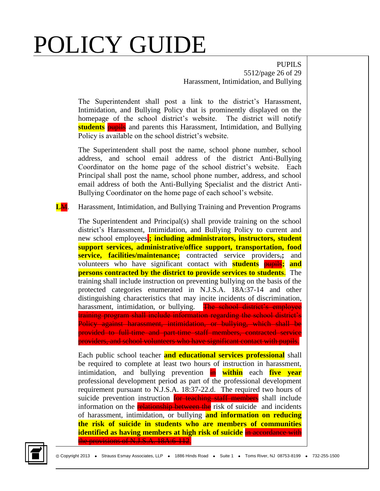PUPILS 5512/page 26 of 29 Harassment, Intimidation, and Bullying

The Superintendent shall post a link to the district's Harassment, Intimidation, and Bullying Policy that is prominently displayed on the homepage of the school district's website. The district will notify **students** pupils and parents this Harassment, Intimidation, and Bullying Policy is available on the school district's website.

The Superintendent shall post the name, school phone number, school address, and school email address of the district Anti-Bullying Coordinator on the home page of the school district's website. Each Principal shall post the name, school phone number, address, and school email address of both the Anti-Bullying Specialist and the district Anti-Bullying Coordinator on the home page of each school's website.

**L**M. Harassment, Intimidation, and Bullying Training and Prevention Programs

The Superintendent and Principal(s) shall provide training on the school district's Harassment, Intimidation, and Bullying Policy to current and new school employees<sup>1</sup>; including administrators, instructors, student **support services, administrative/office support, transportation, food service, facilities/maintenance;** contracted service providers,**;** and volunteers who have significant contact with **students** pupils**; and persons contracted by the district to provide services to students**. The training shall include instruction on preventing bullying on the basis of the protected categories enumerated in N.J.S.A. 18A:37-14 and other distinguishing characteristics that may incite incidents of discrimination, harassment, intimidation, or bullying. The school district's employee training program shall include information regarding the school district's Policy against harassment, intimidation, or bullying, which shall be provided to full-time and part-time staff members, contracted service providers, and school volunteers who have significant contact with pupils.

Each public school teacher **and educational services professional** shall be required to complete at least two hours of instruction in harassment, intimidation, and bullying prevention in **within** each **five year** professional development period as part of the professional development requirement pursuant to N.J.S.A. 18:37-22.d. The required two hours of suicide prevention instruction for teaching staff members shall include information on the **relationship between the** risk of suicide and incidents of harassment, intimidation, or bullying **and information on reducing the risk of suicide in students who are members of communities identified as having members at high risk of suicide** in accordance with the provisions of N.J.S.A. 18A:6-112.

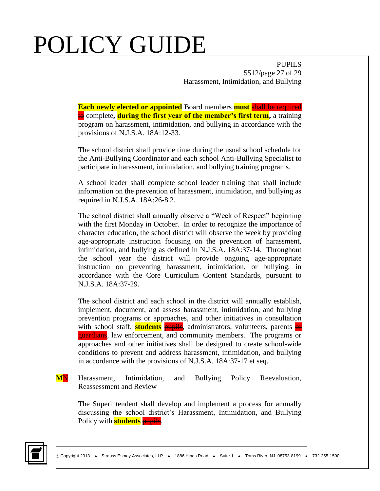PUPILS 5512/page 27 of 29 Harassment, Intimidation, and Bullying

**Each newly elected or appointed** Board members **must** shall be required to complete**, during the first year of the member's first term,** a training program on harassment, intimidation, and bullying in accordance with the provisions of N.J.S.A. 18A:12-33.

The school district shall provide time during the usual school schedule for the Anti-Bullying Coordinator and each school Anti-Bullying Specialist to participate in harassment, intimidation, and bullying training programs.

A school leader shall complete school leader training that shall include information on the prevention of harassment, intimidation, and bullying as required in N.J.S.A. 18A:26-8.2.

The school district shall annually observe a "Week of Respect" beginning with the first Monday in October. In order to recognize the importance of character education, the school district will observe the week by providing age-appropriate instruction focusing on the prevention of harassment, intimidation, and bullying as defined in N.J.S.A. 18A:37-14. Throughout the school year the district will provide ongoing age-appropriate instruction on preventing harassment, intimidation, or bullying, in accordance with the Core Curriculum Content Standards, pursuant to N.J.S.A. 18A:37-29.

The school district and each school in the district will annually establish, implement, document, and assess harassment, intimidation, and bullying prevention programs or approaches, and other initiatives in consultation with school staff, **students pupils**, administrators, volunteers, parents **or guardians**, law enforcement, and community members. The programs or approaches and other initiatives shall be designed to create school-wide conditions to prevent and address harassment, intimidation, and bullying in accordance with the provisions of N.J.S.A. 18A:37-17 et seq.

#### **M**N. Harassment, Intimidation, and Bullying Policy Reevaluation, Reassessment and Review

The Superintendent shall develop and implement a process for annually discussing the school district's Harassment, Intimidation, and Bullying Policy with **students pupils**.

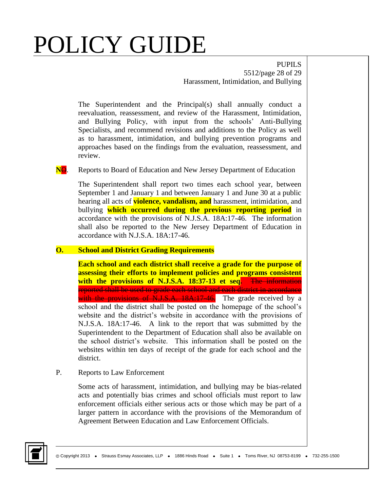PUPILS 5512/page 28 of 29 Harassment, Intimidation, and Bullying

The Superintendent and the Principal(s) shall annually conduct a reevaluation, reassessment, and review of the Harassment, Intimidation, and Bullying Policy, with input from the schools' Anti-Bullying Specialists, and recommend revisions and additions to the Policy as well as to harassment, intimidation, and bullying prevention programs and approaches based on the findings from the evaluation, reassessment, and review.

**NO.** Reports to Board of Education and New Jersey Department of Education

The Superintendent shall report two times each school year, between September 1 and January 1 and between January 1 and June 30 at a public hearing all acts of **violence, vandalism, and** harassment, intimidation, and bullying **which occurred during the previous reporting period** in accordance with the provisions of N.J.S.A. 18A:17-46. The information shall also be reported to the New Jersey Department of Education in accordance with N.J.S.A. 18A:17-46.

#### **O. School and District Grading Requirements**

**Each school and each district shall receive a grade for the purpose of assessing their efforts to implement policies and programs consistent with the provisions of N.J.S.A. 18:37-13 et seq.** The information reported shall be used to grade each school and each district in accordance with the provisions of N.J.S.A. 18A:17-46. The grade received by a school and the district shall be posted on the homepage of the school's website and the district's website in accordance with the provisions of N.J.S.A. 18A:17-46. A link to the report that was submitted by the Superintendent to the Department of Education shall also be available on the school district's website. This information shall be posted on the websites within ten days of receipt of the grade for each school and the district.

P. Reports to Law Enforcement

Some acts of harassment, intimidation, and bullying may be bias-related acts and potentially bias crimes and school officials must report to law enforcement officials either serious acts or those which may be part of a larger pattern in accordance with the provisions of the Memorandum of Agreement Between Education and Law Enforcement Officials.